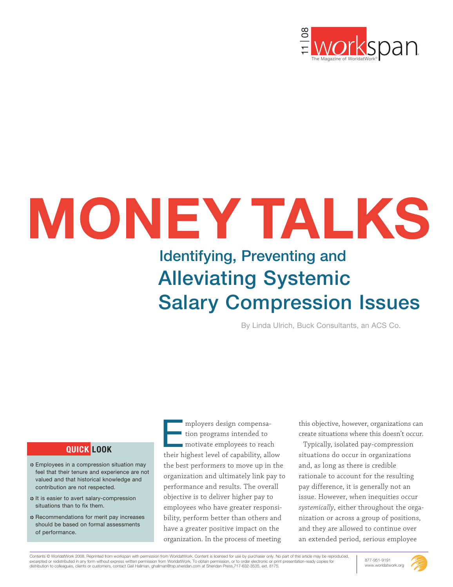

# **MONEY TALKS**

## **Identifying, Preventing and Alleviating Systemic Salary Compression Issues**

By Linda Ulrich, Buck Consultants, an ACS Co.

#### **QUICK LOOK**

- Employees in a compression situation may feel that their tenure and experience are not valued and that historical knowledge and contribution are not respected.
- $\div$  It is easier to avert salary-compression situations than to fix them.
- **EXECOMMENDATIONS for merit pay increases** should be based on formal assessments of performance.

mployers design compensation programs intended to motivate employees to reach mployers design compensa-<br>tion programs intended to<br>motivate employees to reach<br>their highest level of capability, allow the best performers to move up in the organization and ultimately link pay to performance and results. The overall objective is to deliver higher pay to employees who have greater responsibility, perform better than others and have a greater positive impact on the organization. In the process of meeting

this objective, however, organizations can create situations where this doesn't occur.

Typically, isolated pay-compression situations do occur in organizations and, as long as there is credible rationale to account for the resulting pay difference, it is generally not an issue. However, when inequities occur *systemically*, either throughout the organization or across a group of positions, and they are allowed to continue over an extended period, serious employee

Contents © WorldatWork 2008. Reprinted from workspan with permission from WorldatWork. Content is licensed for use by purchaser only. No part of this article may be reproduced. excerpted or redistributed in any form without express written permission from WorldatWork. To obtain permission, or to order electronic or print presentation-ready copies for distribution to colleagues, clients or customers, contact Gail Hallman, ghallman@tsp.sheridan.com at Sheridan Press,717-632-3535, ext. 8175.



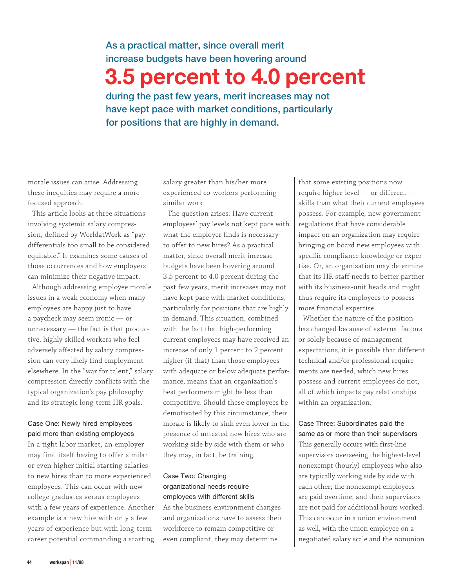#### **As a practical matter, since overall merit increase budgets have been hovering around**

## **3.5 percent to 4.0 percent**

**during the past few years, merit increases may not have kept pace with market conditions, particularly for positions that are highly in demand.**

morale issues can arise. Addressing these inequities may require a more focused approach.

This article looks at three situations involving systemic salary compression, defined by WorldatWork as "pay differentials too small to be considered equitable." It examines some causes of those occurrences and how employers can minimize their negative impact.

Although addressing employee morale issues in a weak economy when many employees are happy just to have a paycheck may seem ironic — or unnecessary — the fact is that productive, highly skilled workers who feel adversely affected by salary compression can very likely find employment elsewhere. In the "war for talent," salary compression directly conflicts with the typical organization's pay philosophy and its strategic long-term HR goals.

#### Case One: Newly hired employees paid more than existing employees

In a tight labor market, an employer may find itself having to offer similar or even higher initial starting salaries to new hires than to more experienced employees. This can occur with new college graduates versus employees with a few years of experience. Another example is a new hire with only a few years of experience but with long-term career potential commanding a starting salary greater than his/her more experienced co-workers performing similar work.

The question arises: Have current employees' pay levels not kept pace with what the employer finds is necessary to offer to new hires? As a practical matter, since overall merit increase budgets have been hovering around 3.5 percent to 4.0 percent during the past few years, merit increases may not have kept pace with market conditions, particularly for positions that are highly in demand. This situation, combined with the fact that high-performing current employees may have received an increase of only 1 percent to 2 percent higher (if that) than those employees with adequate or below adequate performance, means that an organization's best performers might be less than competitive. Should these employees be demotivated by this circumstance, their morale is likely to sink even lower in the presence of untested new hires who are working side by side with them or who they may, in fact, be training.

#### Case Two: Changing organizational needs require employees with different skills

As the business environment changes and organizations have to assess their workforce to remain competitive or even compliant, they may determine

that some existing positions now require higher-level — or different skills than what their current employees possess. For example, new government regulations that have considerable impact on an organization may require bringing on board new employees with specific compliance knowledge or expertise. Or, an organization may determine that its HR staff needs to better partner with its business-unit heads and might thus require its employees to possess more financial expertise.

Whether the nature of the position has changed because of external factors or solely because of management expectations, it is possible that different technical and/or professional requirements are needed, which new hires possess and current employees do not, all of which impacts pay relationships within an organization.

#### Case Three: Subordinates paid the same as or more than their supervisors

This generally occurs with first-line supervisors overseeing the highest-level nonexempt (hourly) employees who also are typically working side by side with each other; the nonexempt employees are paid overtime, and their supervisors are not paid for additional hours worked. This can occur in a union environment as well, with the union employee on a negotiated salary scale and the nonunion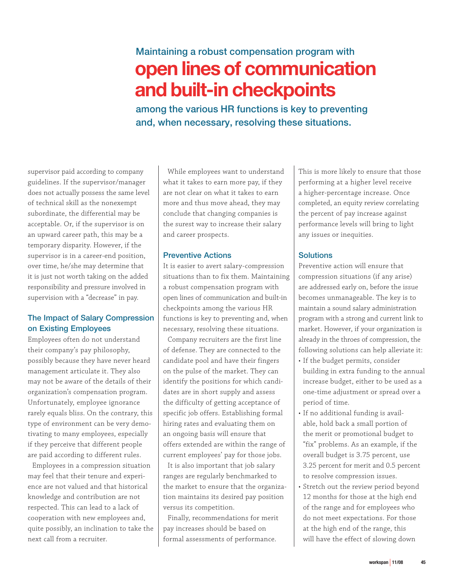### **Maintaining a robust compensation program with open lines of communication and built-in checkpoints**

**among the various HR functions is key to preventing and, when necessary, resolving these situations.**

supervisor paid according to company guidelines. If the supervisor/manager does not actually possess the same level of technical skill as the nonexempt subordinate, the differential may be acceptable. Or, if the supervisor is on an upward career path, this may be a temporary disparity. However, if the supervisor is in a career-end position, over time, he/she may determine that it is just not worth taking on the added responsibility and pressure involved in supervision with a "decrease" in pay.

#### **The Impact of Salary Compression on Existing Employees**

Employees often do not understand their company's pay philosophy, possibly because they have never heard management articulate it. They also may not be aware of the details of their organization's compensation program. Unfortunately, employee ignorance rarely equals bliss. On the contrary, this type of environment can be very demotivating to many employees, especially if they perceive that different people are paid according to different rules.

Employees in a compression situation may feel that their tenure and experience are not valued and that historical knowledge and contribution are not respected. This can lead to a lack of cooperation with new employees and, quite possibly, an inclination to take the next call from a recruiter.

While employees want to understand what it takes to earn more pay, if they are not clear on what it takes to earn more and thus move ahead, they may conclude that changing companies is the surest way to increase their salary and career prospects.

#### **Preventive Actions**

It is easier to avert salary-compression situations than to fix them. Maintaining a robust compensation program with open lines of communication and built-in checkpoints among the various HR functions is key to preventing and, when necessary, resolving these situations.

Company recruiters are the first line of defense. They are connected to the candidate pool and have their fingers on the pulse of the market. They can identify the positions for which candidates are in short supply and assess the difficulty of getting acceptance of specific job offers. Establishing formal hiring rates and evaluating them on an ongoing basis will ensure that offers extended are within the range of current employees' pay for those jobs.

It is also important that job salary ranges are regularly benchmarked to the market to ensure that the organization maintains its desired pay position versus its competition.

Finally, recommendations for merit pay increases should be based on formal assessments of performance.

This is more likely to ensure that those performing at a higher level receive a higher-percentage increase. Once completed, an equity review correlating the percent of pay increase against performance levels will bring to light any issues or inequities.

#### **Solutions**

Preventive action will ensure that compression situations (if any arise) are addressed early on, before the issue becomes unmanageable. The key is to maintain a sound salary administration program with a strong and current link to market. However, if your organization is already in the throes of compression, the following solutions can help alleviate it:

- If the budget permits, consider building in extra funding to the annual increase budget, either to be used as a one-time adjustment or spread over a period of time.
- If no additional funding is available, hold back a small portion of the merit or promotional budget to "fix" problems. As an example, if the overall budget is 3.75 percent, use 3.25 percent for merit and 0.5 percent to resolve compression issues.
- Stretch out the review period beyond 12 months for those at the high end of the range and for employees who do not meet expectations. For those at the high end of the range, this will have the effect of slowing down